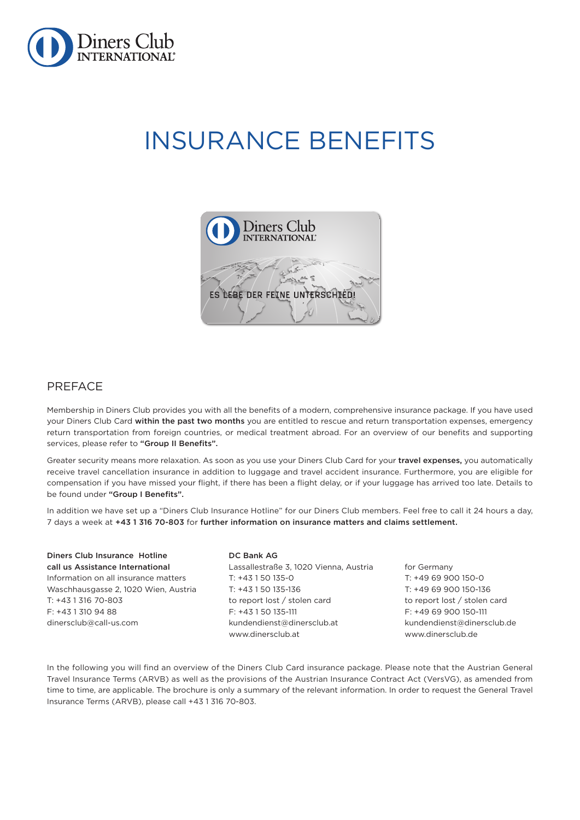

# INSURANCE BENEFITS



# PREFACE

Membership in Diners Club provides you with all the benefits of a modern, comprehensive insurance package. If you have used your Diners Club Card within the past two months you are entitled to rescue and return transportation expenses, emergency return transportation from foreign countries, or medical treatment abroad. For an overview of our benefits and supporting services, please refer to "Group II Benefits".

Greater security means more relaxation. As soon as you use your Diners Club Card for your travel expenses, you automatically receive travel cancellation insurance in addition to luggage and travel accident insurance. Furthermore, you are eligible for compensation if you have missed your flight, if there has been a flight delay, or if your luggage has arrived too late. Details to be found under "Group I Benefits".

In addition we have set up a "Diners Club Insurance Hotline" for our Diners Club members. Feel free to call it 24 hours a day, 7 days a week at +43 1 316 70-803 for further information on insurance matters and claims settlement.

| Diners Club Insurance Hotline        | DC Bank AG                             |                              |
|--------------------------------------|----------------------------------------|------------------------------|
| call us Assistance International     | Lassallestraße 3, 1020 Vienna, Austria | for Germany                  |
| Information on all insurance matters | T: +43 1 50 135-0                      | T: +49 69 900 150-0          |
| Waschhausgasse 2, 1020 Wien, Austria | T: +43 1 50 135-136                    | T: +49 69 900 150-136        |
| T: +43 1 316 70-803                  | to report lost / stolen card           | to report lost / stolen card |
| F: +43 1 310 94 88                   | $F: +43150135-111$                     | F: +49 69 900 150-111        |
| dinersclub@call-us.com               | kundendienst@dinersclub.at             | kundendienst@dinersclub.de   |
|                                      | www.dinersclub.at                      | www.dinersclub.de            |
|                                      |                                        |                              |

In the following you will find an overview of the Diners Club Card insurance package. Please note that the Austrian General Travel Insurance Terms (ARVB) as well as the provisions of the Austrian Insurance Contract Act (VersVG), as amended from time to time, are applicable. The brochure is only a summary of the relevant information. In order to request the General Travel Insurance Terms (ARVB), please call +43 1 316 70-803.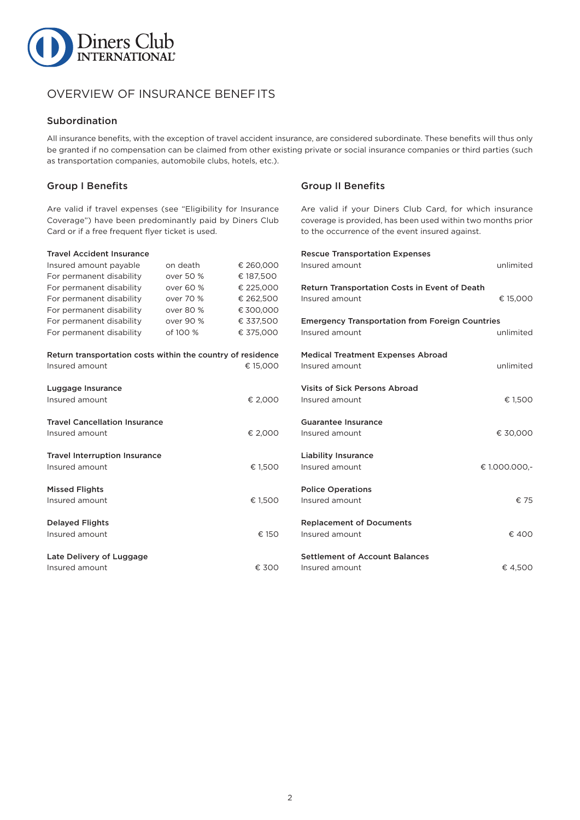

# OVERVIEW OF INSURANCE BENEFITS

## Subordination

All insurance benefits, with the exception of travel accident insurance, are considered subordinate. These benefits will thus only be granted if no compensation can be claimed from other existing private or social insurance companies or third parties (such as transportation companies, automobile clubs, hotels, etc.).

# Group I Benefits

Are valid if travel expenses (see "Eligibility for Insurance Coverage") have been predominantly paid by Diners Club Card or if a free frequent flyer ticket is used.

#### Travel Accident Insurance

| Insured amount payable                                      | on death  | € 260,000 | Insured amor           |
|-------------------------------------------------------------|-----------|-----------|------------------------|
| For permanent disability                                    | over 50 % | € 187,500 |                        |
| For permanent disability                                    | over 60 % | € 225,000 | <b>Return Trans</b>    |
| For permanent disability                                    | over 70 % | € 262,500 | Insured amor           |
| For permanent disability                                    | over 80 % | € 300,000 |                        |
| For permanent disability                                    | over 90 % | € 337,500 | Emergency <sup>1</sup> |
| For permanent disability                                    | of 100 %  | € 375,000 | Insured amor           |
| Return transportation costs within the country of residence |           |           | <b>Medical Trea</b>    |
| Insured amount                                              |           | € 15,000  | Insured amor           |
| Luggage Insurance                                           |           |           | Visits of Sick         |
| Insured amount                                              |           | € 2,000   | Insured amor           |
| <b>Travel Cancellation Insurance</b>                        |           |           | <b>Guarantee In</b>    |
| Insured amount                                              |           | € 2,000   | Insured amor           |
| <b>Travel Interruption Insurance</b>                        |           |           | Liability Insu         |
| Insured amount                                              |           | € 1,500   | Insured amor           |
| <b>Missed Flights</b>                                       |           |           | Police Opera           |
| Insured amount                                              |           | € 1,500   | Insured amor           |
| <b>Delayed Flights</b>                                      |           |           | Replacemen             |
| Insured amount                                              |           | € 150     | Insured amor           |
| Late Delivery of Luggage                                    |           |           | Settlement o           |
| Insured amount                                              |           | € 300     | Insured amor           |
|                                                             |           |           |                        |

# Group II Benefits

Are valid if your Diners Club Card, for which insurance coverage is provided, has been used within two months prior to the occurrence of the event insured against.

| <b>Rescue Transportation Expenses</b><br>Insured amount                  | unlimited     |
|--------------------------------------------------------------------------|---------------|
| Return Transportation Costs in Event of Death<br>Insured amount          | € 15,000      |
| <b>Emergency Transportation from Foreign Countries</b><br>Insured amount | unlimited     |
| <b>Medical Treatment Expenses Abroad</b><br>Insured amount               | unlimited     |
| <b>Visits of Sick Persons Abroad</b><br>Insured amount                   | € 1,500       |
| Guarantee Insurance<br>Insured amount                                    | € 30,000      |
| <b>Liability Insurance</b><br>Insured amount                             | € 1.000.000,- |
| <b>Police Operations</b><br>Insured amount                               | € 75          |
| <b>Replacement of Documents</b><br>Insured amount                        | € 400         |
| <b>Settlement of Account Balances</b><br>Insured amount                  | € 4,500       |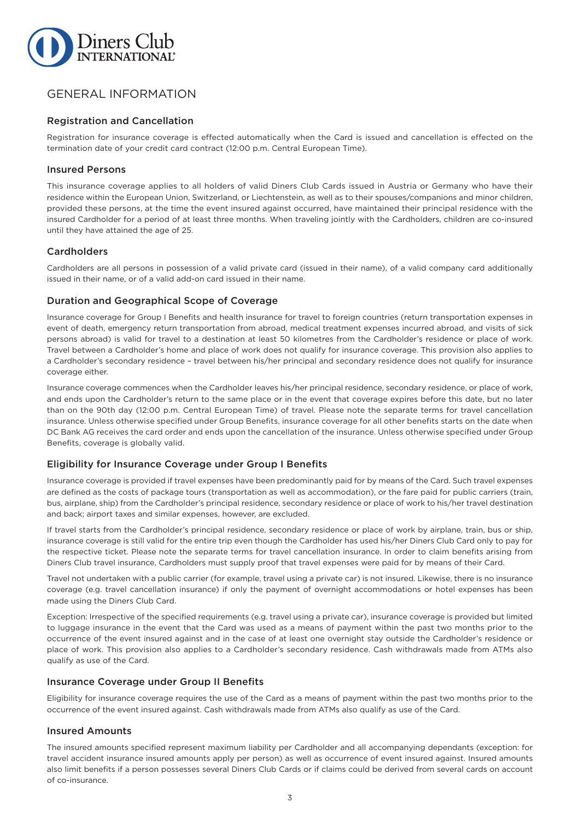

# GENERAL INFORMATION

## Registration and Cancellation

Registration for insurance coverage is effected automatically when the Card is issued and cancellation is effected on the termination date of your credit card contract (12:00 p.m. Central European Time).

## Insured Persons

This insurance coverage applies to all holders of valid Diners Club Cards issued in Austria or Germany who have their residence within the European Union, Switzerland, or Liechtenstein, as well as to their spouses/companions and minor children, provided these persons, at the time the event insured against occurred, have maintained their principal residence with the insured Cardholder for a period of at least three months. When traveling jointly with the Cardholders, children are co-insured until they have attained the age of 25.

## Cardholders

Cardholders are all persons in possession of a valid private card (issued in their name), of a valid company card additionally issued in their name, or of a valid add-on card issued in their name.

# Duration and Geographical Scope of Coverage

Insurance coverage for Group I Benefits and health insurance for travel to foreign countries (return transportation expenses in event of death, emergency return transportation from abroad, medical treatment expenses incurred abroad, and visits of sick persons abroad) is valid for travel to a destination at least 50 kilometres from the Cardholder's residence or place of work. Travel between a Cardholder's home and place of work does not qualify for insurance coverage. This provision also applies to a Cardholder's secondary residence – travel between his/her principal and secondary residence does not qualify for insurance coverage either.

Insurance coverage commences when the Cardholder leaves his/her principal residence, secondary residence, or place of work, and ends upon the Cardholder's return to the same place or in the event that coverage expires before this date, but no later than on the 90th day (12:00 p.m. Central European Time) of travel. Please note the separate terms for travel cancellation insurance. Unless otherwise specified under Group Benefits, insurance coverage for all other benefits starts on the date when DC Bank AG receives the card order and ends upon the cancellation of the insurance. Unless otherwise specified under Group Benefits, coverage is globally valid.

## Eligibility for Insurance Coverage under Group I Benefits

Insurance coverage is provided if travel expenses have been predominantly paid for by means of the Card. Such travel expenses are defined as the costs of package tours (transportation as well as accommodation), or the fare paid for public carriers (train, bus, airplane, ship) from the Cardholder's principal residence, secondary residence or place of work to his/her travel destination and back; airport taxes and similar expenses, however, are excluded.

If travel starts from the Cardholder's principal residence, secondary residence or place of work by airplane, train, bus or ship, insurance coverage is still valid for the entire trip even though the Cardholder has used his/her Diners Club Card only to pay for the respective ticket. Please note the separate terms for travel cancellation insurance. In order to claim benefits arising from Diners Club travel insurance, Cardholders must supply proof that travel expenses were paid for by means of their Card.

Travel not undertaken with a public carrier (for example, travel using a private car) is not insured. Likewise, there is no insurance coverage (e.g. travel cancellation insurance) if only the payment of overnight accommodations or hotel expenses has been made using the Diners Club Card.

Exception: Irrespective of the specified requirements (e.g. travel using a private car), insurance coverage is provided but limited to luggage insurance in the event that the Card was used as a means of payment within the past two months prior to the occurrence of the event insured against and in the case of at least one overnight stay outside the Cardholder's residence or place of work. This provision also applies to a Cardholder's secondary residence. Cash withdrawals made from ATMs also qualify as use of the Card.

## Insurance Coverage under Group II Benefits

Eligibility for insurance coverage requires the use of the Card as a means of payment within the past two months prior to the occurrence of the event insured against. Cash withdrawals made from ATMs also qualify as use of the Card.

## Insured Amounts

The insured amounts specified represent maximum liability per Cardholder and all accompanying dependants (exception: for travel accident insurance insured amounts apply per person) as well as occurrence of event insured against. Insured amounts also limit benefits if a person possesses several Diners Club Cards or if claims could be derived from several cards on account of co-insurance.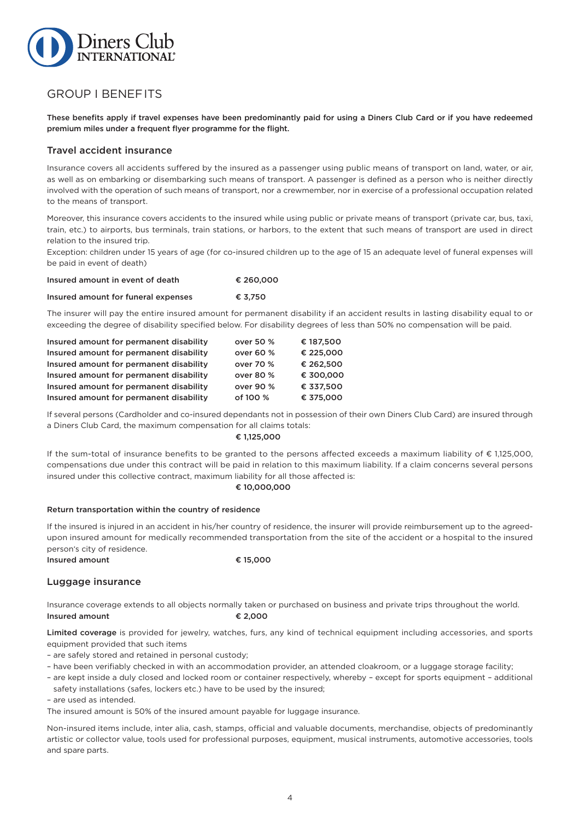

# GROUP I BENEFITS

These benefits apply if travel expenses have been predominantly paid for using a Diners Club Card or if you have redeemed premium miles under a frequent flyer programme for the flight.

## Travel accident insurance

Insurance covers all accidents suffered by the insured as a passenger using public means of transport on land, water, or air, as well as on embarking or disembarking such means of transport. A passenger is defined as a person who is neither directly involved with the operation of such means of transport, nor a crewmember, nor in exercise of a professional occupation related to the means of transport.

Moreover, this insurance covers accidents to the insured while using public or private means of transport (private car, bus, taxi, train, etc.) to airports, bus terminals, train stations, or harbors, to the extent that such means of transport are used in direct relation to the insured trip.

Exception: children under 15 years of age (for co-insured children up to the age of 15 an adequate level of funeral expenses will be paid in event of death)

| Insured amount in event of death    | € 260,000 |
|-------------------------------------|-----------|
| Insured amount for funeral expenses | € 3.750   |

The insurer will pay the entire insured amount for permanent disability if an accident results in lasting disability equal to or exceeding the degree of disability specified below. For disability degrees of less than 50% no compensation will be paid.

| Insured amount for permanent disability | over 50 % | € 187.500 |
|-----------------------------------------|-----------|-----------|
| Insured amount for permanent disability | over 60 % | € 225.000 |
| Insured amount for permanent disability | over 70 % | € 262.500 |
| Insured amount for permanent disability | over 80 % | € 300,000 |
| Insured amount for permanent disability | over 90 % | € 337.500 |
| Insured amount for permanent disability | of 100 %  | € 375,000 |

If several persons (Cardholder and co-insured dependants not in possession of their own Diners Club Card) are insured through a Diners Club Card, the maximum compensation for all claims totals:

#### € 1,125,000

If the sum-total of insurance benefits to be granted to the persons affected exceeds a maximum liability of  $\epsilon$  1,125,000, compensations due under this contract will be paid in relation to this maximum liability. If a claim concerns several persons insured under this collective contract, maximum liability for all those affected is:

#### € 10,000,000

#### Return transportation within the country of residence

If the insured is injured in an accident in his/her country of residence, the insurer will provide reimbursement up to the agreedupon insured amount for medically recommended transportation from the site of the accident or a hospital to the insured person's city of residence.

Insured amount  $\epsilon$  15,000

## Luggage insurance

Insurance coverage extends to all objects normally taken or purchased on business and private trips throughout the world. Insured amount  $\epsilon$  2,000

Limited coverage is provided for jewelry, watches, furs, any kind of technical equipment including accessories, and sports equipment provided that such items

– are safely stored and retained in personal custody;

- have been verifiably checked in with an accommodation provider, an attended cloakroom, or a luggage storage facility;
- are kept inside a duly closed and locked room or container respectively, whereby except for sports equipment additional safety installations (safes, lockers etc.) have to be used by the insured;

– are used as intended.

The insured amount is 50% of the insured amount payable for luggage insurance.

Non-insured items include, inter alia, cash, stamps, official and valuable documents, merchandise, objects of predominantly artistic or collector value, tools used for professional purposes, equipment, musical instruments, automotive accessories, tools and spare parts.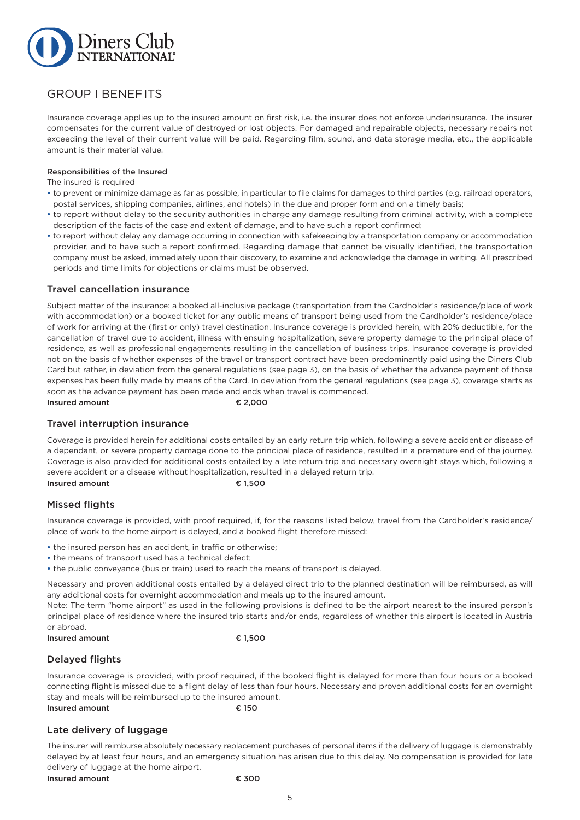

# GROUP I BENEFITS

Insurance coverage applies up to the insured amount on first risk, i.e. the insurer does not enforce underinsurance. The insurer compensates for the current value of destroyed or lost objects. For damaged and repairable objects, necessary repairs not exceeding the level of their current value will be paid. Regarding film, sound, and data storage media, etc., the applicable amount is their material value.

#### Responsibilities of the Insured

The insured is required

- **•** to prevent or minimize damage as far as possible, in particular to file claims for damages to third parties (e.g. railroad operators, postal services, shipping companies, airlines, and hotels) in the due and proper form and on a timely basis;
- **•** to report without delay to the security authorities in charge any damage resulting from criminal activity, with a complete description of the facts of the case and extent of damage, and to have such a report confirmed;
- **•** to report without delay any damage occurring in connection with safekeeping by a transportation company or accommodation provider, and to have such a report confirmed. Regarding damage that cannot be visually identified, the transportation company must be asked, immediately upon their discovery, to examine and acknowledge the damage in writing. All prescribed periods and time limits for objections or claims must be observed.

## Travel cancellation insurance

Subject matter of the insurance: a booked all-inclusive package (transportation from the Cardholder's residence/place of work with accommodation) or a booked ticket for any public means of transport being used from the Cardholder's residence/place of work for arriving at the (first or only) travel destination. Insurance coverage is provided herein, with 20% deductible, for the cancellation of travel due to accident, illness with ensuing hospitalization, severe property damage to the principal place of residence, as well as professional engagements resulting in the cancellation of business trips. Insurance coverage is provided not on the basis of whether expenses of the travel or transport contract have been predominantly paid using the Diners Club Card but rather, in deviation from the general regulations (see page 3), on the basis of whether the advance payment of those expenses has been fully made by means of the Card. In deviation from the general regulations (see page 3), coverage starts as soon as the advance payment has been made and ends when travel is commenced.

Insured amount  $\epsilon$  2,000

## Travel interruption insurance

Coverage is provided herein for additional costs entailed by an early return trip which, following a severe accident or disease of a dependant, or severe property damage done to the principal place of residence, resulted in a premature end of the journey. Coverage is also provided for additional costs entailed by a late return trip and necessary overnight stays which, following a severe accident or a disease without hospitalization, resulted in a delayed return trip. Insured amount  $\epsilon$  1,500

# Missed flights

Insurance coverage is provided, with proof required, if, for the reasons listed below, travel from the Cardholder's residence/ place of work to the home airport is delayed, and a booked flight therefore missed:

- **•** the insured person has an accident, in traffic or otherwise;
- **•** the means of transport used has a technical defect;
- **•** the public conveyance (bus or train) used to reach the means of transport is delayed.

Necessary and proven additional costs entailed by a delayed direct trip to the planned destination will be reimbursed, as will any additional costs for overnight accommodation and meals up to the insured amount.

Note: The term "home airport" as used in the following provisions is defined to be the airport nearest to the insured person's principal place of residence where the insured trip starts and/or ends, regardless of whether this airport is located in Austria or abroad.

Insured amount  $\epsilon$  1,500

# Delayed flights

Insurance coverage is provided, with proof required, if the booked flight is delayed for more than four hours or a booked connecting flight is missed due to a flight delay of less than four hours. Necessary and proven additional costs for an overnight stay and meals will be reimbursed up to the insured amount. Insured amount  $\epsilon$  150

# Late delivery of luggage

The insurer will reimburse absolutely necessary replacement purchases of personal items if the delivery of luggage is demonstrably delayed by at least four hours, and an emergency situation has arisen due to this delay. No compensation is provided for late delivery of luggage at the home airport.

5

Insured amount  $\epsilon$  300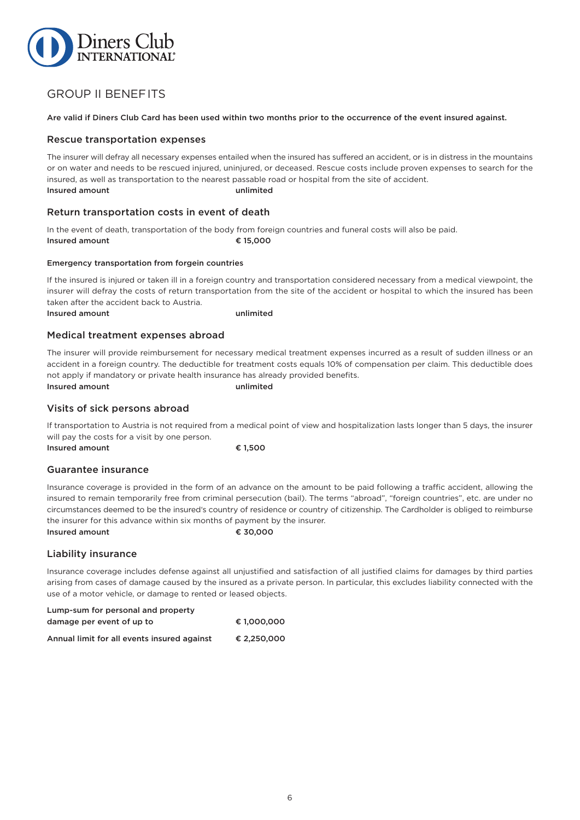

# GROUP II BENEFITS

Are valid if Diners Club Card has been used within two months prior to the occurrence of the event insured against.

## Rescue transportation expenses

The insurer will defray all necessary expenses entailed when the insured has suffered an accident, or is in distress in the mountains or on water and needs to be rescued injured, uninjured, or deceased. Rescue costs include proven expenses to search for the insured, as well as transportation to the nearest passable road or hospital from the site of accident. Insured amount unlimited

# Return transportation costs in event of death

In the event of death, transportation of the body from foreign countries and funeral costs will also be paid. Insured amount  $\epsilon$  15,000

#### Emergency transportation from forgein countries

If the insured is injured or taken ill in a foreign country and transportation considered necessary from a medical viewpoint, the insurer will defray the costs of return transportation from the site of the accident or hospital to which the insured has been taken after the accident back to Austria. Insured amount unlimited

## Medical treatment expenses abroad

The insurer will provide reimbursement for necessary medical treatment expenses incurred as a result of sudden illness or an accident in a foreign country. The deductible for treatment costs equals 10% of compensation per claim. This deductible does not apply if mandatory or private health insurance has already provided benefits. Insured amount unlimited

Visits of sick persons abroad

If transportation to Austria is not required from a medical point of view and hospitalization lasts longer than 5 days, the insurer will pay the costs for a visit by one person.

Insured amount  $\epsilon$  1,500

## Guarantee insurance

Insurance coverage is provided in the form of an advance on the amount to be paid following a traffic accident, allowing the insured to remain temporarily free from criminal persecution (bail). The terms "abroad", "foreign countries", etc. are under no circumstances deemed to be the insured's country of residence or country of citizenship. The Cardholder is obliged to reimburse the insurer for this advance within six months of payment by the insurer.

# Insured amount  $\epsilon$  30,000

# Liability insurance

Insurance coverage includes defense against all unjustified and satisfaction of all justified claims for damages by third parties arising from cases of damage caused by the insured as a private person. In particular, this excludes liability connected with the use of a motor vehicle, or damage to rented or leased objects.

| Lump-sum for personal and property          |             |
|---------------------------------------------|-------------|
| damage per event of up to                   | € 1.000.000 |
| Annual limit for all events insured against | € 2.250.000 |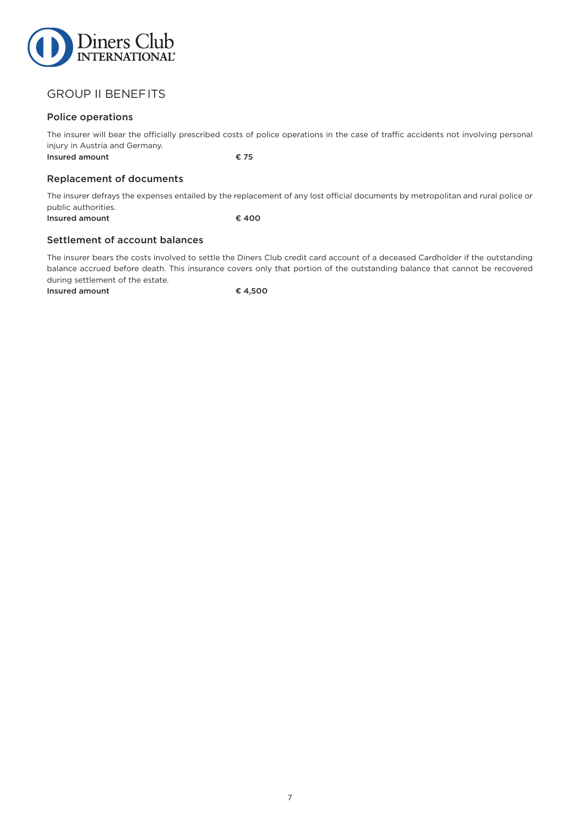

# GROUP II BENEFITS

# Police operations

The insurer will bear the officially prescribed costs of police operations in the case of traffic accidents not involving personal injury in Austria and Germany. Insured amount  $\epsilon$  75

# Replacement of documents

The insurer defrays the expenses entailed by the replacement of any lost official documents by metropolitan and rural police or public authorities.

Insured amount  $\epsilon$  400

## Settlement of account balances

The insurer bears the costs involved to settle the Diners Club credit card account of a deceased Cardholder if the outstanding balance accrued before death. This insurance covers only that portion of the outstanding balance that cannot be recovered during settlement of the estate.

Insured amount  $\epsilon$  4,500